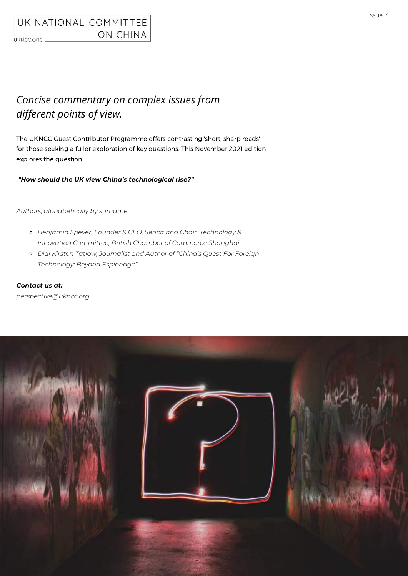# *Concise commentary on complex issues from different points of view.*

The UKNCC Guest Contributor Programme offers contrasting 'short, sharp reads' for those seeking a fuller exploration of key questions. This November 2021 edition explores the question:

### *"How should the UK view China's technological rise?"*

*Authors, alphabetically by surname:*

- *Benjamin Speyer, Founder & CEO, Serica and Chair, Technology & Innovation Committee, British Chamber of Commerce Shanghai*
- *Didi Kirsten Tatlow, Journalist and Author of "China's Quest For Foreign Technology: Beyond Espionage"*

*Contact us at:*

*perspective@ukncc.org*

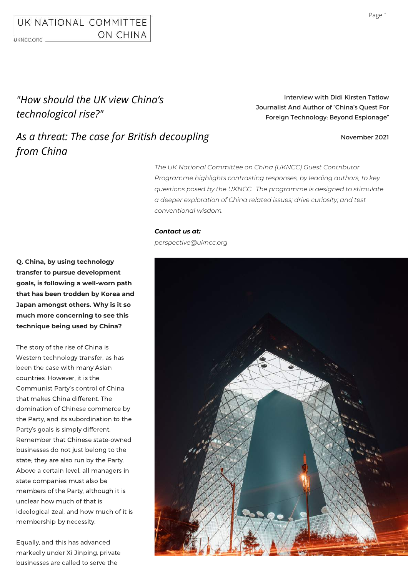# *"How should the UK view China's technological rise?"*

Interview with Didi Kirsten Tatlow Journalist And Author of "China's Quest For Foreign Technology: Beyond Espionage"

# *As a threat: The case for British decoupling from China*

### November 2021

*The UK National Committee on China (UKNCC) Guest Contributor Programme highlights contrasting responses, by leading authors, to key questions posed by the UKNCC. The programme is designed to stimulate a deeper exploration of China related issues; drive curiosity; and test conventional wisdom.*

### *Contact us at:*

*perspective@ukncc.org*



**Q. China, by using technology transfer to pursue development goals, is following a well-worn path that has been trodden by Korea and Japan amongst others. Why is it so much more concerning to see this technique being used by China?**

The story of the rise of China is Western technology transfer, as has been the case with many Asian countries. However, it is the Communist Party's control of China that makes China different. The domination of Chinese commerce by the Party, and its subordination to the Party's goals is simply different. Remember that Chinese state-owned businesses do not just belong to the state; they are also run by the Party. Above a certain level, all managers in state companies must also be members of the Party, although it is unclear how much of that is ideological zeal, and how much of it is membership by necessity.

Equally, and this has advanced markedly under Xi Jinping, private businesses are called to serve the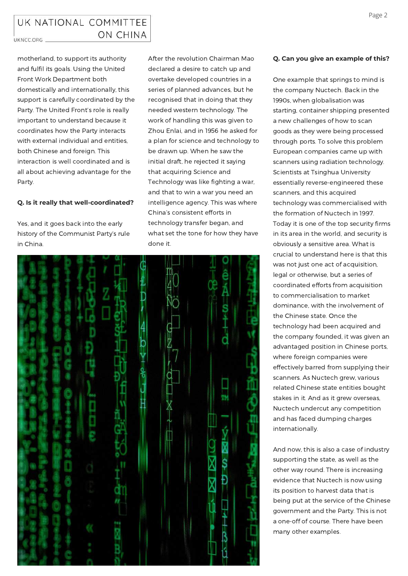motherland, to support its authority and fulfil its goals. Using the United Front Work Department both domestically and internationally, this support is carefully coordinated by the Party. The United Front's role is really important to understand because it coordinates how the Party interacts with external individual and entities, both Chinese and foreign. This interaction is well coordinated and is all about achieving advantage for the Party.

### **Q. Is it really that well-coordinated?**

Yes, and it goes back into the early history of the Communist Party's rule in China.

After the revolution Chairman Mao declared a desire to catch up and overtake developed countries in a series of planned advances, but he recognised that in doing that they needed western technology. The work of handling this was given to Zhou Enlai, and in 1956 he asked for a plan for science and technology to be drawn up. When he saw the initial draft, he rejected it saying that acquiring Science and Technology was like fighting a war, and that to win a war you need an intelligence agency. This was where China's consistent efforts in technology transfer began, and what set the tone for how they have done it.



### **Q. Can you give an example of this?**

One example that springs to mind is the company Nuctech. Back in the 1990s, when globalisation was starting, container shipping presented a new challenges of how to scan goods as they were being processed through ports. To solve this problem European companies came up with scanners using radiation technology. Scientists at Tsinghua University essentially reverse-engineered these scanners, and this acquired technology was commercialised with the formation of Nuctech in 1997. Today it is one of the top security firms in its area in the world, and security is obviously a sensitive area. What is crucial to understand here is that this was not just one act of acquisition, legal or otherwise, but a series of coordinated efforts from acquisition to commercialisation to market dominance, with the involvement of the Chinese state. Once the technology had been acquired and the company founded, it was given an advantaged position in Chinese ports, where foreign companies were effectively barred from supplying their scanners. As Nuctech grew, various related Chinese state entities bought stakes in it. And as it grew overseas, Nuctech undercut any competition and has faced dumping charges internationally.

And now, this is also a case of industry supporting the state, as well as the other way round. There is increasing evidence that Nuctech is now using its position to harvest data that is being put at the service of the Chinese government and the Party. This is not a one-off of course. There have been many other examples.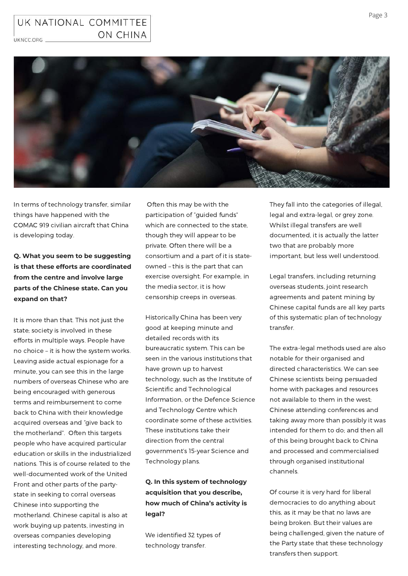## UK NATIONAL COMMITTEE ON CHINA

UKNCC.ORG \_



In terms of technology transfer, similar things have happened with the COMAC 919 civilian aircraft that China is developing today.

**Q. What you seem to be suggesting is that these efforts are coordinated from the centre and involve large parts of the Chinese state. Can you expand on that?**

It is more than that. This not just the state; society is involved in these efforts in multiple ways. People have no choice – it is how the system works. Leaving aside actual espionage for a minute, you can see this in the large numbers of overseas Chinese who are being encouraged with generous terms and reimbursement to come back to China with their knowledge acquired overseas and "give back to the motherland". Often this targets people who have acquired particular education or skills in the industrialized nations. This is of course related to the well-documented work of the United Front and other parts of the partystate in seeking to corral overseas Chinese into supporting the motherland. Chinese capital is also at work buying up patents, investing in overseas companies developing interesting technology, and more.

Often this may be with the participation of "guided funds" which are connected to the state, though they will appear to be private. Often there will be a consortium and a part of it is stateowned – this is the part that can exercise oversight. For example, in the media sector, it is how censorship creeps in overseas.

Historically China has been very good at keeping minute and detailed records with its bureaucratic system. This can be seen in the various institutions that have grown up to harvest technology, such as the Institute of Scientific and Technological Information, or the Defence Science and Technology Centre which coordinate some of these activities. These institutions take their direction from the central government's 15-year Science and Technology plans.

## **Q. In this system of technology acquisition that you describe, how much of China's activity is legal?**

We identified 32 types of technology transfer.

They fall into the categories of illegal, legal and extra-legal, or grey zone. Whilst illegal transfers are well documented, it is actually the latter two that are probably more important, but less well understood.

Legal transfers, including returning overseas students, joint research agreements and patent mining by Chinese capital funds are all key parts of this systematic plan of technology transfer.

The extra-legal methods used are also notable for their organised and directed characteristics. We can see Chinese scientists being persuaded home with packages and resources not available to them in the west; Chinese attending conferences and taking away more than possibly it was intended for them to do; and then all of this being brought back to China and processed and commercialised through organised institutional channels.

Of course it is very hard for liberal democracies to do anything about this, as it may be that no laws are being broken. But their values are being challenged, given the nature of the Party state that these technology transfers then support.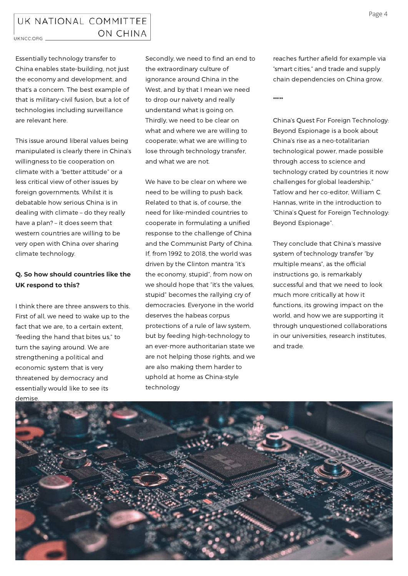### UK NATIONAL COMMITTEE ON CHINA UKNCC.ORG \_

Essentially technology transfer to China enables state-building, not just the economy and development, and that's a concern. The best example of that is military-civil fusion, but a lot of technologies including surveillance are relevant here.

This issue around liberal values being manipulated is clearly there in China's willingness to tie cooperation on climate with a "better attitude" or a less critical view of other issues by foreign governments. Whilst it is debatable how serious China is in dealing with climate – do they really have a plan? – it does seem that western countries are willing to be very open with China over sharing climate technology.

## **Q. So how should countries like the UK respond to this?**

I think there are three answers to this. First of all, we need to wake up to the fact that we are, to a certain extent. "feeding the hand that bites us," to turn the saying around. We are strengthening a political and economic system that is very threatened by democracy and essentially would like to see its demise

Secondly, we need to find an end to the extraordinary culture of ignorance around China in the West, and by that I mean we need to drop our naivety and really understand what is going on. Thirdly, we need to be clear on what and where we are willing to cooperate; what we are willing to lose through technology transfer, and what we are not.

We have to be clear on where we need to be willing to push back. Related to that is, of course, the need for like-minded countries to cooperate in formulating a unified response to the challenge of China and the Communist Party of China. If, from 1992 to 2018, the world was driven by the Clinton mantra "it's the economy, stupid", from now on we should hope that "it's the values, stupid" becomes the rallying cry of democracies. Everyone in the world deserves the habeas corpus protections of a rule of law system, but by feeding high-technology to an ever-more authoritarian state we are not helping those rights, and we are also making them harder to uphold at home as China-style technology

reaches further afield for example via "smart cities," and trade and supply chain dependencies on China grow.

\*\*\*\*\*

China's Quest For Foreign Technology: Beyond Espionage is a book about China's rise as a neo-totalitarian technological power, made possible through access to science and technology crated by countries it now challenges for global leadership," Tatlow and her co-editor, William C. Hannas, write in the introduction to "China's Quest for Foreign Technology: Beyond Espionage".

They conclude that China's massive system of technology transfer "by multiple means", as the official instructions go, is remarkably successful and that we need to look much more critically at how it functions, its growing impact on the world, and how we are supporting it through unquestioned collaborations in our universities, research institutes, and trade.

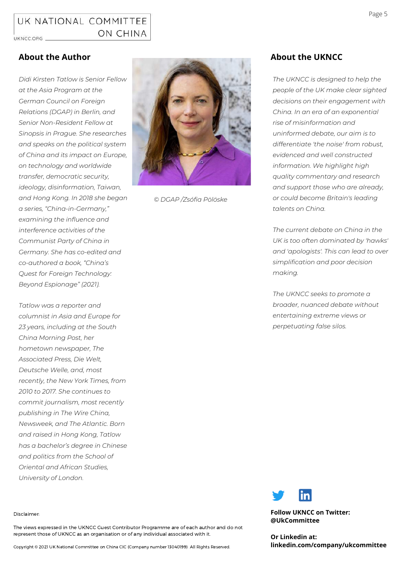*Didi Kirsten Tatlow is Senior Fellow at the Asia Program at the German Council on Foreign Relations (DGAP) in Berlin, and Senior Non-Resident Fellow at Sinopsis in Prague. She researches and speaks on the political system of China and its impact on Europe, on [technology](https://icds.ee/en/chinas-technological-rise-implications-for-global-security-and-the-case-of-nuctech/) and worldwide transfer, [democratic](https://dgap.org/en/research/publications/how-democratic-security-can-protect-europe-rising-china) security, ideology, disinformation, Taiwan, and [Hong](https://sinopsis.cz/en/how-hong-kong-was-lost/) Kong. In 2018 she began a series, "[China-in-Germany](https://sinopsis.cz/en/mapping-china-in-germany/)," examining the influence and [interference](https://www.theatlantic.com/international/archive/2019/07/chinas-influence-efforts-germany-students/593689/) activities of the Communist Party of China in Germany. She has co-edited and [co-authored](https://www.routledge.com/Chinas-Quest-for-Foreign-Technology-Beyond-Espionage/Hannas-Tatlow/p/book/9780367473570) a book, "China's Quest for Foreign Technology: Beyond Espionage" (2021).*

*Tatlow was a reporter and columnist in Asia and Europe for 23 years, including at the South China Morning Post, her hometown newspaper, The Associated Press, Die Welt, Deutsche Welle, and, most recently, the New York Times, from 2010 to 2017. She continues to commit journalism, most recently publishing in The Wire China, Newsweek, and The Atlantic. Born and raised in Hong Kong, Tatlow has a bachelor's degree in Chinese and politics from the School of Oriental and African Studies, University of London.*



*© DGAP /Zsófia Pölöske*

## **About the Author About the UKNCC**

*The UKNCC is designed to help the people of the UK make clear sighted decisions on their engagement with China. In an era of an exponential rise of misinformation and uninformed debate, our aim is to differentiate 'the noise' from robust, evidenced and well constructed information. We highlight high quality commentary and research and support those who are already, or could become Britain's leading talents on China.*

*The current debate on China in the UK is too often dominated by 'hawks' and 'apologists'. This can lead to over simplification and poor decision making.*

*The UKNCC seeks to promote a broader, nuanced debate without entertaining extreme views or perpetuating false silos.*



**@UkCommittee**

**Or Linkedin at: linkedin.com/company/ukcommittee**

#### Disclaimer:

The views expressed in the UKNCC Guest Contributor Programme are of each author and do not represent those of UKNCC as an organisation or of any individual associated with it.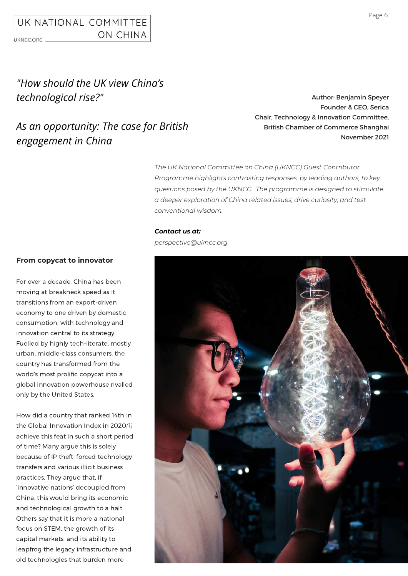# *"How should the UK view China's technological rise?"*

## *As an opportunity: The case for British engagement in China*

Author: Benjamin Speyer Founder & CEO, Serica Chair, Technology & Innovation Committee, British Chamber of Commerce Shanghai November 2021

*The UK National Committee on China (UKNCC) Guest Contributor Programme highlights contrasting responses, by leading authors, to key questions posed by the UKNCC. The programme is designed to stimulate a deeper exploration of China related issues; drive curiosity; and test conventional wisdom.*

### *Contact us at:*

## **From copycat to innovator** For over a decade, China has been moving at breakneck speed as it transitions from an export-driven economy to one driven by domestic consumption, with technology and innovation central to its strategy. Fuelled by highly tech-literate, mostly urban, middle-class consumers, the country has transformed from the world's most prolific copycat into a *perspective@ukncc.org*

How did a country that ranked 14th in the Global Innovation Index in 2020*(1)* achieve this feat in such a short period of time? Many argue this is solely because of IP theft, forced technology transfers and various illicit business practices. They argue that, if 'innovative nations' decoupled from China, this would bring its economic and technological growth to a halt. Others say that it is more a national focus on STEM, the growth of its capital markets, and its ability to leapfrog the legacy infrastructure and old technologies that burden more

global innovation powerhouse rivalled

only by the United States.

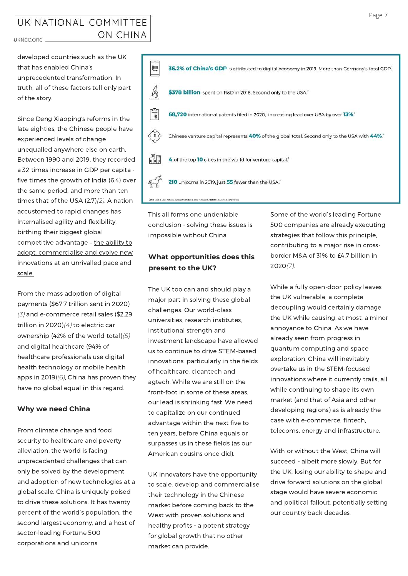### UK NATIONAL COMMITTEE ON CHINA UKNCC.ORG \_

developed countries such as the UK that has enabled China's unprecedented transformation. In truth, all of these factors tell only part of the story.

Since Deng Xiaoping's reforms in the late eighties, the Chinese people have experienced levels of change unequalled anywhere else on earth. Between 1990 and 2019, they recorded a 32 times increase in GDP per capita five times the growth of India (6.4) over the same period, and more than ten times that of the USA (2.7)*(2)*. A nation accustomed to rapid changes has internalised agility and flexibility, birthing their biggest global competitive advantage - the ability to adopt, commercialise and evolve new innovations at an unrivalled pace and scale.

From the mass adoption of digital payments (\$67.7 trillion sent in 2020) *(3)* and e-commerce retail sales (\$2.29 trillion in 2020)*(4)* to electric car ownership (42% of the world total)*(5)* and digital healthcare (94% of healthcare professionals use digital health technology or mobile health apps in 2019)*(6)*, China has proven they have no global equal in this regard.

### **Why we need China**

From climate change and food security to healthcare and poverty alleviation, the world is facing unprecedented challenges that can only be solved by the development and adoption of new technologies at a global scale. China is uniquely poised to drive these solutions. It has twenty percent of the world's population, the second largest economy, and a host of sector-leading Fortune 500 corporations and unicorns.



This all forms one undeniable conclusion - solving these issues is impossible without China.

## **What opportunities does this present to the UK?**

The UK too can and should play a major part in solving these global challenges. Our world-class universities, research institutes, institutional strength and investment landscape have allowed us to continue to drive STEM-based innovations, particularly in the fields of healthcare, cleantech and agtech. While we are still on the front-foot in some of these areas, our lead is shrinking fast. We need to capitalize on our continued advantage within the next five to ten years, before China equals or surpasses us in these fields (as our American cousins once did).

UK innovators have the opportunity to scale, develop and commercialise their technology in the Chinese market before coming back to the West with proven solutions and healthy profits - a potent strategy for global growth that no other market can provide.

Some of the world's leading Fortune 500 companies are already executing strategies that follow this principle, contributing to a major rise in crossborder M&A of 31% to £4.7 billion in 2020*(7)*.

While a fully open-door policy leaves the UK vulnerable, a complete decoupling would certainly damage the UK while causing, at most, a minor annoyance to China. As we have already seen from progress in quantum computing and space exploration, China will inevitably overtake us in the STEM-focused innovations where it currently trails, all while continuing to shape its own market (and that of Asia and other developing regions) as is already the case with e-commerce, fintech, telecoms, energy and infrastructure.

With or without the West, China will succeed - albeit more slowly. But for the UK, losing our ability to shape and drive forward solutions on the global stage would have severe economic and political fallout, [potentially](https://us-lti.bbcollab.com/collab/ui/session/playback/load/7cf6bb5c7aaa4aa9930d7bd7b8df0b00?name=2020%20Virtual%20Symposium:%20Lt%20Gen%20Michael%20A.%20Minihan,%20USAF%20Deputy%20Commander,%20U.S.%20Indo-Pacific%20Command%20-%20recording_1) setting our country back decades.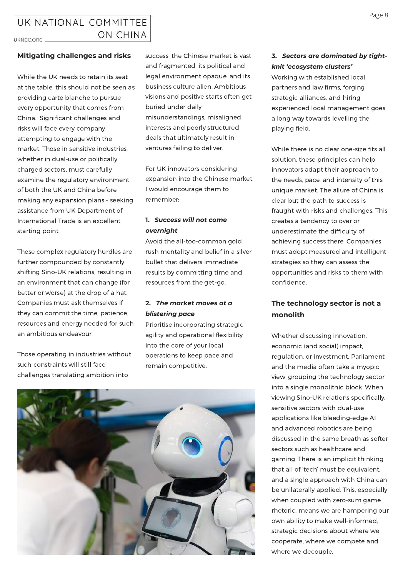### **Mitigating challenges and risks**

While the UK needs to retain its seat at the table, this should not be seen as providing carte blanche to pursue every opportunity that comes from China. Significant challenges and risks will face every company attempting to engage with the market. Those in sensitive industries, whether in dual-use or politically charged sectors, must carefully examine the regulatory environment of both the UK and China before making any expansion plans - seeking assistance from UK Department of International Trade is an excellent starting point.

These complex regulatory hurdles are further compounded by constantly shifting Sino-UK relations, resulting in an environment that can change (for better or worse) at the drop of a hat. Companies must ask themselves if they can commit the time, patience, resources and energy needed for such an ambitious endeavour.

Those operating in industries without such constraints will still face challenges translating ambition into

success: the Chinese market is vast and fragmented, its political and legal environment opaque, and its business culture alien. Ambitious visions and positive starts often get buried under daily misunderstandings, misaligned interests and poorly structured deals that ultimately result in ventures failing to deliver.

For UK innovators considering expansion into the Chinese market, I would encourage them to remember:

### **1.** *Success will not come overnight*

Avoid the all-too-common gold rush mentality and belief in a silver bullet that delivers immediate results by committing time and resources from the get-go.

### **2.** *The market moves at a blistering pace*

Prioritise incorporating strategic agility and operational flexibility into the core of your local operations to keep pace and remain competitive.



### **3.** *Sectors are dominated by tightknit 'ecosystem clusters'*

Working with established local partners and law firms, forging strategic alliances, and hiring experienced local management goes a long way towards levelling the playing field.

While there is no clear one-size fits all solution, these principles can help innovators adapt their approach to the needs, pace, and intensity of this unique market. The allure of China is clear but the path to success is fraught with risks and challenges. This creates a tendency to over or underestimate the difficulty of achieving success there. Companies must adopt measured and intelligent strategies so they can assess the opportunities and risks to them with confidence.

## **The technology sector is not a monolith**

Whether discussing innovation, economic (and social) impact, regulation, or investment, Parliament and the media often take a myopic view, grouping the technology sector into a single monolithic block. When viewing Sino-UK relations specifically, sensitive sectors with dual-use applications like bleeding-edge AI and advanced robotics are being discussed in the same breath as softer sectors such as healthcare and gaming. There is an implicit thinking that all of 'tech' must be equivalent, and a single approach with China can be unilaterally applied. This, especially when coupled with zero-sum game rhetoric, means we are hampering our own ability to make well-informed, strategic decisions about where we cooperate, where we compete and where we decouple.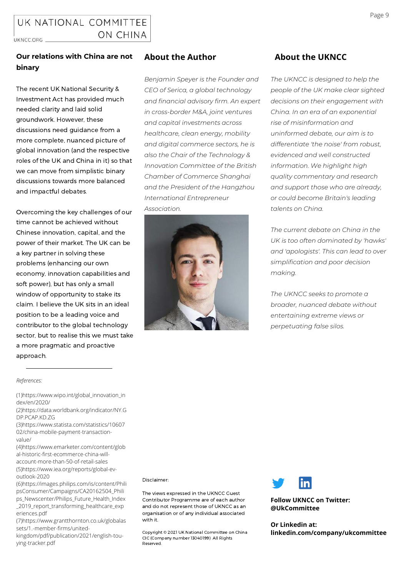The recent UK National Security & Investment Act has provided much needed clarity and laid solid groundwork. However, these discussions need guidance from a more complete, nuanced picture of global innovation (and the respective roles of the UK and China in it) so that we can move from simplistic binary discussions towards more balanced and impactful debates.

Overcoming the key challenges of our time cannot be achieved without Chinese innovation, capital, and the power of their market. The UK can be a key partner in solving these problems (enhancing our own economy, innovation capabilities and soft power), but has only a small window of opportunity to stake its claim. I believe the UK sits in an ideal position to be a leading voice and contributor to the global technology sector, but to realise this we must take a more pragmatic and proactive approach.

### **About the Author**

*Benjamin Speyer is the Founder and CEO of Serica, a global technology and financial advisory firm. An expert in cross-border M&A, joint ventures and capital investments across healthcare, clean energy, mobility and digital commerce sectors, he is also the Chair of the Technology & Innovation Committee of the British Chamber of Commerce Shanghai and the President of the Hangzhou International Entrepreneur Association.*



## **About the UKNCC**

*The UKNCC is designed to help the people of the UK make clear sighted decisions on their engagement with China. In an era of an exponential rise of misinformation and uninformed debate, our aim is to differentiate 'the noise' from robust, evidenced and well constructed information. We highlight high quality commentary and research and support those who are already, or could become Britain's leading talents on China.*

*The current debate on China in the UK is too often dominated by 'hawks' and 'apologists'. This can lead to over simplification and poor decision making.*

*The UKNCC seeks to promote a broader, nuanced debate without entertaining extreme views or perpetuating false silos.*

#### *References:*

[\(1\)https://www.wipo.int/global\\_innovation\\_in](https://www.wipo.int/global_innovation_index/en/2020/) dex/en/2020/

[\(2\)https://data.worldbank.org/indicator/NY.G](https://data.worldbank.org/indicator/NY.GDP.PCAP.KD.ZG) DP.PCAP.KD.ZG

[\(3\)https://www.statista.com/statistics/10607](https://www.statista.com/statistics/1060702/china-mobile-payment-transaction-value/) 02/china-mobile-payment-transaction-

value/ [\(4\)https://www.emarketer.com/content/glob](https://www.emarketer.com/content/global-historic-first-ecommerce-china-will-account-more-than-50-of-retail-sales) al-historic-first-ecommerce-china-willaccount-more-than-50-of-retail-sales

[\(5\)https://www.iea.org/reports/global-ev](https://www.iea.org/reports/global-ev-outlook-2020)outlook-2020 [\(6\)https://images.philips.com/is/content/Phili](https://images.philips.com/is/content/PhilipsConsumer/Campaigns/CA20162504_Philips_Newscenter/Philips_Future_Health_Index_2019_report_transforming_healthcare_experiences.pdf)

psConsumer/Campaigns/CA20162504\_Phili ps\_Newscenter/Philips\_Future\_Health\_Index \_2019\_report\_transforming\_healthcare\_exp eriences.pdf

[\(7\)https://www.grantthornton.co.uk/globalas](https://www.grantthornton.co.uk/globalassets/1.-member-firms/united-kingdom/pdf/publication/2021/english-tou-ying-tracker.pdf) sets/1.-member-firms/united-

kingdom/pdf/publication/2021/english-touying-tracker.pdf

Disclaimer:

The views expressed in the UKNCC Guest Contributor Programme are of each author and do not represent those of UKNCC as an organisation or of any individual associated with it.

Copyright © 2021 UK National Committee on China CIC (Company number 13040199) All Rights Reserved.



**Follow UKNCC on Twitter: @UkCommittee**

**Or Linkedin at: linkedin.com/company/ukcommittee**